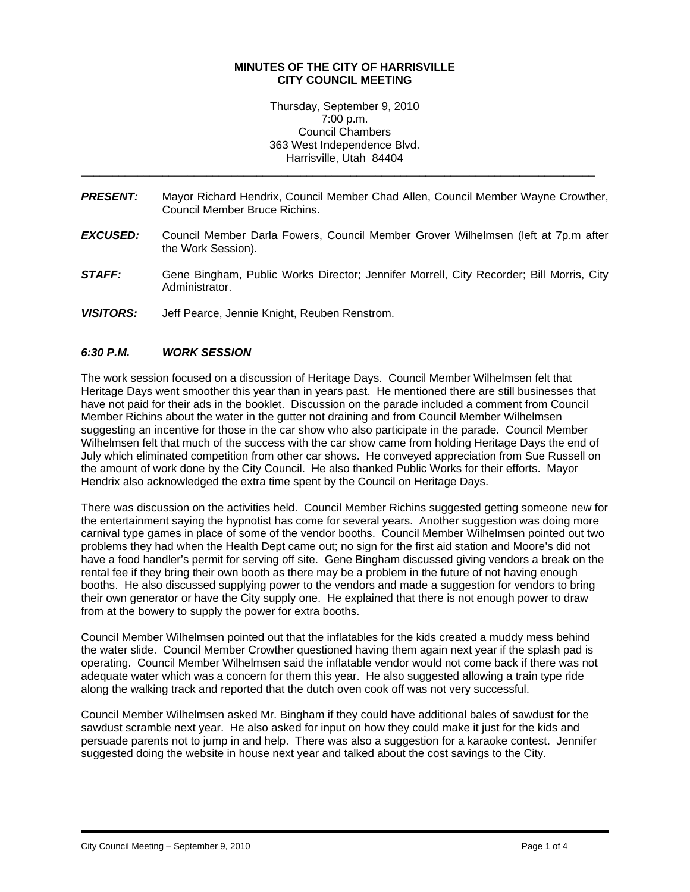#### **MINUTES OF THE CITY OF HARRISVILLE CITY COUNCIL MEETING**

Thursday, September 9, 2010 7:00 p.m. Council Chambers 363 West Independence Blvd. Harrisville, Utah 84404

*PRESENT:* Mayor Richard Hendrix, Council Member Chad Allen, Council Member Wayne Crowther, Council Member Bruce Richins.

\_\_\_\_\_\_\_\_\_\_\_\_\_\_\_\_\_\_\_\_\_\_\_\_\_\_\_\_\_\_\_\_\_\_\_\_\_\_\_\_\_\_\_\_\_\_\_\_\_\_\_\_\_\_\_\_\_\_\_\_\_\_\_\_\_\_\_\_\_\_\_\_\_\_\_\_\_\_\_\_\_\_

- *EXCUSED:* Council Member Darla Fowers, Council Member Grover Wilhelmsen (left at 7p.m after the Work Session).
- *STAFF:* Gene Bingham, Public Works Director; Jennifer Morrell, City Recorder; Bill Morris, City Administrator.
- *VISITORS:* Jeff Pearce, Jennie Knight, Reuben Renstrom.

### *6:30 P.M. WORK SESSION*

The work session focused on a discussion of Heritage Days. Council Member Wilhelmsen felt that Heritage Days went smoother this year than in years past. He mentioned there are still businesses that have not paid for their ads in the booklet. Discussion on the parade included a comment from Council Member Richins about the water in the gutter not draining and from Council Member Wilhelmsen suggesting an incentive for those in the car show who also participate in the parade. Council Member Wilhelmsen felt that much of the success with the car show came from holding Heritage Days the end of July which eliminated competition from other car shows. He conveyed appreciation from Sue Russell on the amount of work done by the City Council. He also thanked Public Works for their efforts. Mayor Hendrix also acknowledged the extra time spent by the Council on Heritage Days.

There was discussion on the activities held. Council Member Richins suggested getting someone new for the entertainment saying the hypnotist has come for several years. Another suggestion was doing more carnival type games in place of some of the vendor booths. Council Member Wilhelmsen pointed out two problems they had when the Health Dept came out; no sign for the first aid station and Moore's did not have a food handler's permit for serving off site. Gene Bingham discussed giving vendors a break on the rental fee if they bring their own booth as there may be a problem in the future of not having enough booths. He also discussed supplying power to the vendors and made a suggestion for vendors to bring their own generator or have the City supply one. He explained that there is not enough power to draw from at the bowery to supply the power for extra booths.

Council Member Wilhelmsen pointed out that the inflatables for the kids created a muddy mess behind the water slide. Council Member Crowther questioned having them again next year if the splash pad is operating. Council Member Wilhelmsen said the inflatable vendor would not come back if there was not adequate water which was a concern for them this year. He also suggested allowing a train type ride along the walking track and reported that the dutch oven cook off was not very successful.

Council Member Wilhelmsen asked Mr. Bingham if they could have additional bales of sawdust for the sawdust scramble next year. He also asked for input on how they could make it just for the kids and persuade parents not to jump in and help. There was also a suggestion for a karaoke contest. Jennifer suggested doing the website in house next year and talked about the cost savings to the City.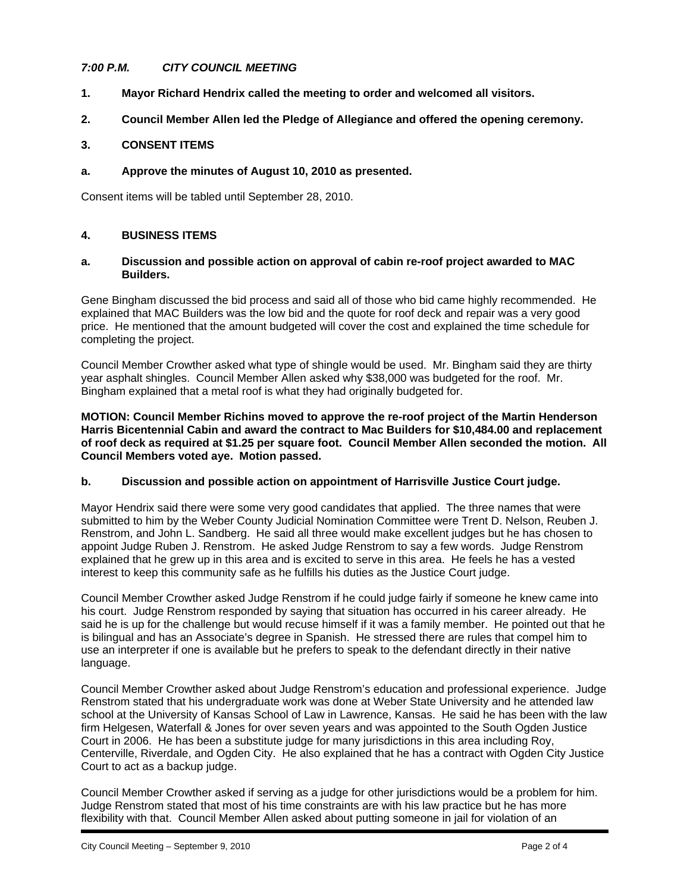## *7:00 P.M. CITY COUNCIL MEETING*

- **1. Mayor Richard Hendrix called the meeting to order and welcomed all visitors.**
- **2. Council Member Allen led the Pledge of Allegiance and offered the opening ceremony.**

### **3. CONSENT ITEMS**

### **a. Approve the minutes of August 10, 2010 as presented.**

Consent items will be tabled until September 28, 2010.

### **4. BUSINESS ITEMS**

#### **a. Discussion and possible action on approval of cabin re-roof project awarded to MAC Builders.**

Gene Bingham discussed the bid process and said all of those who bid came highly recommended. He explained that MAC Builders was the low bid and the quote for roof deck and repair was a very good price. He mentioned that the amount budgeted will cover the cost and explained the time schedule for completing the project.

Council Member Crowther asked what type of shingle would be used. Mr. Bingham said they are thirty year asphalt shingles. Council Member Allen asked why \$38,000 was budgeted for the roof. Mr. Bingham explained that a metal roof is what they had originally budgeted for.

**MOTION: Council Member Richins moved to approve the re-roof project of the Martin Henderson Harris Bicentennial Cabin and award the contract to Mac Builders for \$10,484.00 and replacement of roof deck as required at \$1.25 per square foot. Council Member Allen seconded the motion. All Council Members voted aye. Motion passed.** 

#### **b. Discussion and possible action on appointment of Harrisville Justice Court judge.**

Mayor Hendrix said there were some very good candidates that applied. The three names that were submitted to him by the Weber County Judicial Nomination Committee were Trent D. Nelson, Reuben J. Renstrom, and John L. Sandberg. He said all three would make excellent judges but he has chosen to appoint Judge Ruben J. Renstrom. He asked Judge Renstrom to say a few words. Judge Renstrom explained that he grew up in this area and is excited to serve in this area. He feels he has a vested interest to keep this community safe as he fulfills his duties as the Justice Court judge.

Council Member Crowther asked Judge Renstrom if he could judge fairly if someone he knew came into his court. Judge Renstrom responded by saying that situation has occurred in his career already. He said he is up for the challenge but would recuse himself if it was a family member. He pointed out that he is bilingual and has an Associate's degree in Spanish. He stressed there are rules that compel him to use an interpreter if one is available but he prefers to speak to the defendant directly in their native language.

Council Member Crowther asked about Judge Renstrom's education and professional experience. Judge Renstrom stated that his undergraduate work was done at Weber State University and he attended law school at the University of Kansas School of Law in Lawrence, Kansas. He said he has been with the law firm Helgesen, Waterfall & Jones for over seven years and was appointed to the South Ogden Justice Court in 2006. He has been a substitute judge for many jurisdictions in this area including Roy, Centerville, Riverdale, and Ogden City. He also explained that he has a contract with Ogden City Justice Court to act as a backup judge.

Council Member Crowther asked if serving as a judge for other jurisdictions would be a problem for him. Judge Renstrom stated that most of his time constraints are with his law practice but he has more flexibility with that. Council Member Allen asked about putting someone in jail for violation of an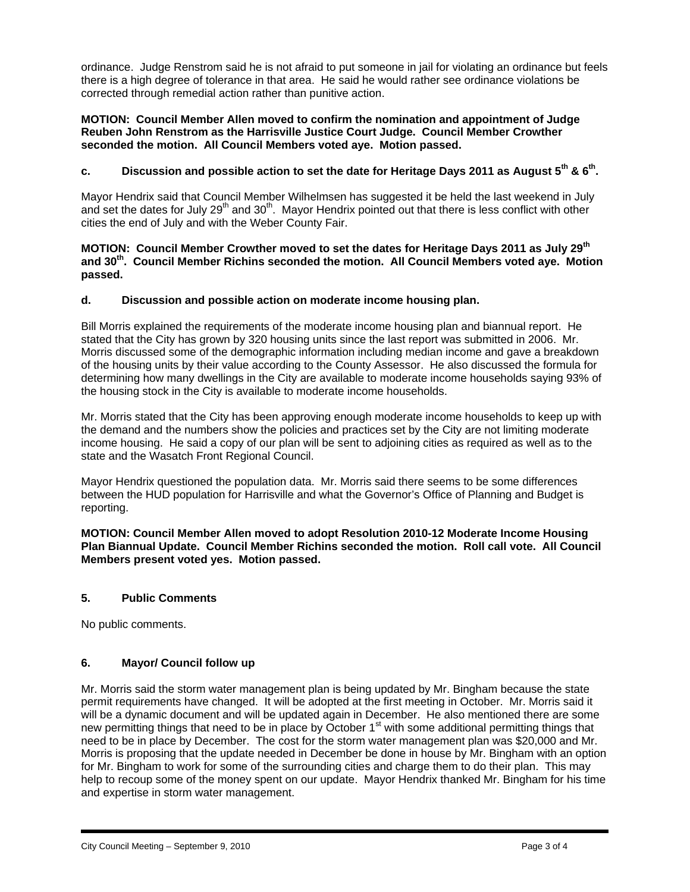ordinance. Judge Renstrom said he is not afraid to put someone in jail for violating an ordinance but feels there is a high degree of tolerance in that area. He said he would rather see ordinance violations be corrected through remedial action rather than punitive action.

#### **MOTION: Council Member Allen moved to confirm the nomination and appointment of Judge Reuben John Renstrom as the Harrisville Justice Court Judge. Council Member Crowther seconded the motion. All Council Members voted aye. Motion passed.**

# **c. Discussion and possible action to set the date for Heritage Days 2011 as August 5th & 6th.**

Mayor Hendrix said that Council Member Wilhelmsen has suggested it be held the last weekend in July and set the dates for July 29<sup>th</sup> and 30<sup>th</sup>. Mayor Hendrix pointed out that there is less conflict with other cities the end of July and with the Weber County Fair.

### **MOTION: Council Member Crowther moved to set the dates for Heritage Days 2011 as July 29th and 30th. Council Member Richins seconded the motion. All Council Members voted aye. Motion passed.**

## **d. Discussion and possible action on moderate income housing plan.**

Bill Morris explained the requirements of the moderate income housing plan and biannual report. He stated that the City has grown by 320 housing units since the last report was submitted in 2006. Mr. Morris discussed some of the demographic information including median income and gave a breakdown of the housing units by their value according to the County Assessor. He also discussed the formula for determining how many dwellings in the City are available to moderate income households saying 93% of the housing stock in the City is available to moderate income households.

Mr. Morris stated that the City has been approving enough moderate income households to keep up with the demand and the numbers show the policies and practices set by the City are not limiting moderate income housing. He said a copy of our plan will be sent to adjoining cities as required as well as to the state and the Wasatch Front Regional Council.

Mayor Hendrix questioned the population data. Mr. Morris said there seems to be some differences between the HUD population for Harrisville and what the Governor's Office of Planning and Budget is reporting.

**MOTION: Council Member Allen moved to adopt Resolution 2010-12 Moderate Income Housing Plan Biannual Update. Council Member Richins seconded the motion. Roll call vote. All Council Members present voted yes. Motion passed.** 

## **5. Public Comments**

No public comments.

## **6. Mayor/ Council follow up**

Mr. Morris said the storm water management plan is being updated by Mr. Bingham because the state permit requirements have changed. It will be adopted at the first meeting in October. Mr. Morris said it will be a dynamic document and will be updated again in December. He also mentioned there are some new permitting things that need to be in place by October 1<sup>st</sup> with some additional permitting things that need to be in place by December. The cost for the storm water management plan was \$20,000 and Mr. Morris is proposing that the update needed in December be done in house by Mr. Bingham with an option for Mr. Bingham to work for some of the surrounding cities and charge them to do their plan. This may help to recoup some of the money spent on our update. Mayor Hendrix thanked Mr. Bingham for his time and expertise in storm water management.